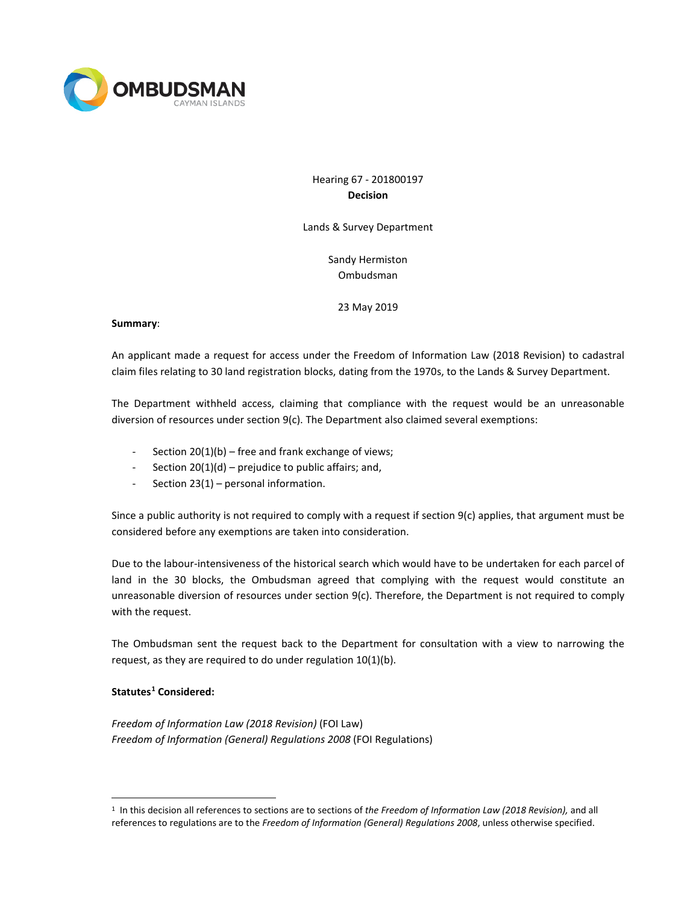

# Hearing 67 - 201800197 **Decision**

Lands & Survey Department

Sandy Hermiston Ombudsman

23 May 2019

#### **Summary**:

An applicant made a request for access under the Freedom of Information Law (2018 Revision) to cadastral claim files relating to 30 land registration blocks, dating from the 1970s, to the Lands & Survey Department.

The Department withheld access, claiming that compliance with the request would be an unreasonable diversion of resources under section 9(c). The Department also claimed several exemptions:

- Section  $20(1)(b)$  free and frank exchange of views;
- Section 20(1)(d) prejudice to public affairs; and,
- Section 23(1) personal information.

Since a public authority is not required to comply with a request if section 9(c) applies, that argument must be considered before any exemptions are taken into consideration.

Due to the labour-intensiveness of the historical search which would have to be undertaken for each parcel of land in the 30 blocks, the Ombudsman agreed that complying with the request would constitute an unreasonable diversion of resources under section 9(c). Therefore, the Department is not required to comply with the request.

The Ombudsman sent the request back to the Department for consultation with a view to narrowing the request, as they are required to do under regulation 10(1)(b).

## **Statutes[1](#page-0-0) Considered:**

*Freedom of Information Law (2018 Revision)* (FOI Law) *Freedom of Information (General) Regulations 2008* (FOI Regulations)

<span id="page-0-0"></span> <sup>1</sup> In this decision all references to sections are to sections of *the Freedom of Information Law (2018 Revision),* and all references to regulations are to the *Freedom of Information (General) Regulations 2008*, unless otherwise specified.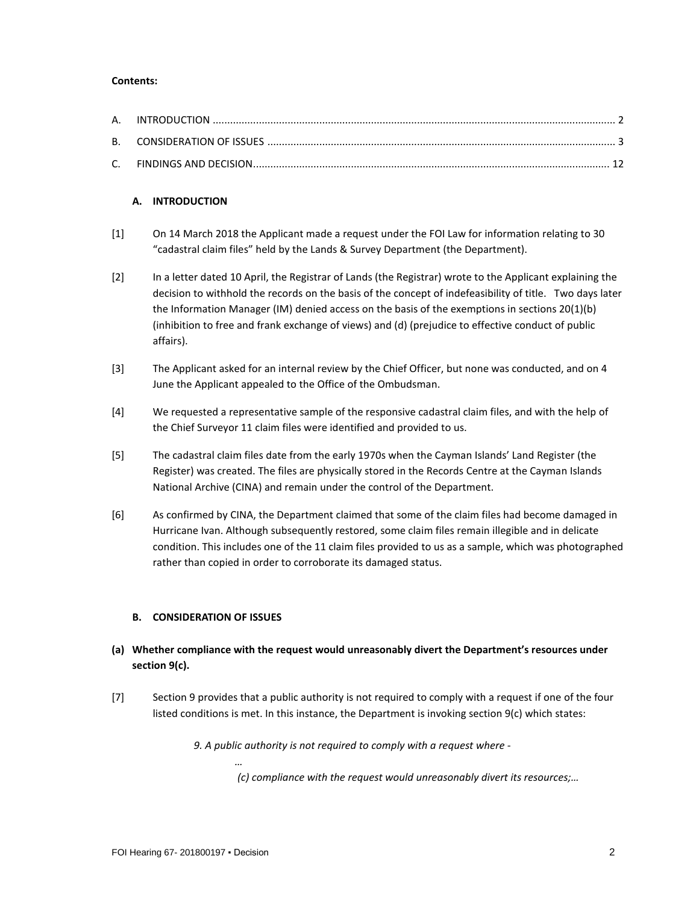### **Contents:**

### **A. INTRODUCTION**

- [1] On 14 March 2018 the Applicant made a request under the FOI Law for information relating to 30 "cadastral claim files" held by the Lands & Survey Department (the Department).
- [2] In a letter dated 10 April, the Registrar of Lands (the Registrar) wrote to the Applicant explaining the decision to withhold the records on the basis of the concept of indefeasibility of title. Two days later the Information Manager (IM) denied access on the basis of the exemptions in sections 20(1)(b) (inhibition to free and frank exchange of views) and (d) (prejudice to effective conduct of public affairs).
- [3] The Applicant asked for an internal review by the Chief Officer, but none was conducted, and on 4 June the Applicant appealed to the Office of the Ombudsman.
- [4] We requested a representative sample of the responsive cadastral claim files, and with the help of the Chief Surveyor 11 claim files were identified and provided to us.
- [5] The cadastral claim files date from the early 1970s when the Cayman Islands' Land Register (the Register) was created. The files are physically stored in the Records Centre at the Cayman Islands National Archive (CINA) and remain under the control of the Department.
- [6] As confirmed by CINA, the Department claimed that some of the claim files had become damaged in Hurricane Ivan. Although subsequently restored, some claim files remain illegible and in delicate condition. This includes one of the 11 claim files provided to us as a sample, which was photographed rather than copied in order to corroborate its damaged status.

### **B. CONSIDERATION OF ISSUES**

*…*

## **(a) Whether compliance with the request would unreasonably divert the Department's resources under section 9(c).**

[7] Section 9 provides that a public authority is not required to comply with a request if one of the four listed conditions is met. In this instance, the Department is invoking section 9(c) which states:

*9. A public authority is not required to comply with a request where -*

*(c) compliance with the request would unreasonably divert its resources;…*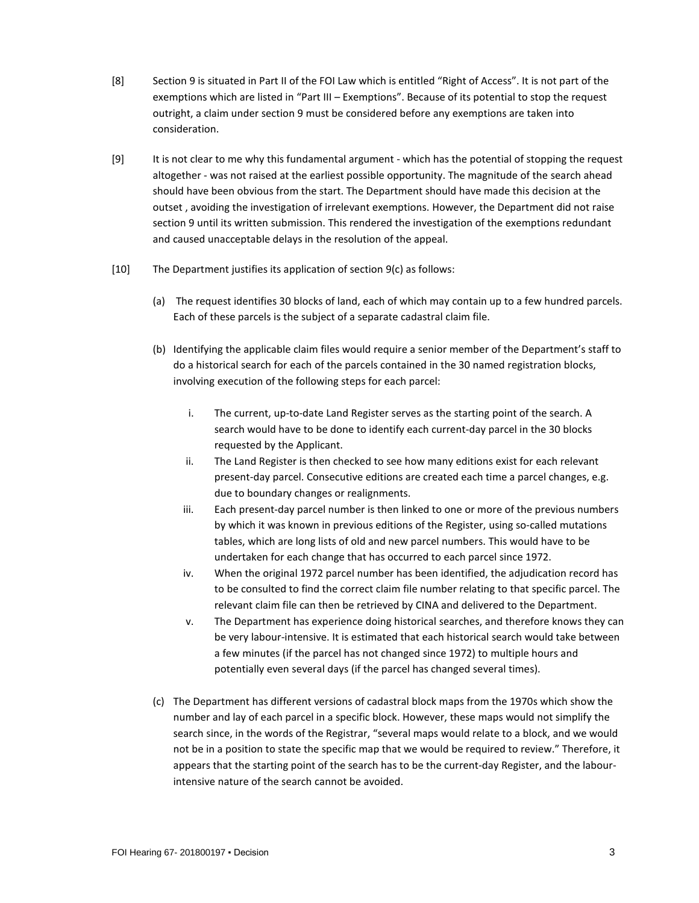- [8] Section 9 is situated in Part II of the FOI Law which is entitled "Right of Access". It is not part of the exemptions which are listed in "Part III – Exemptions". Because of its potential to stop the request outright, a claim under section 9 must be considered before any exemptions are taken into consideration.
- [9] It is not clear to me why this fundamental argument which has the potential of stopping the request altogether - was not raised at the earliest possible opportunity. The magnitude of the search ahead should have been obvious from the start. The Department should have made this decision at the outset , avoiding the investigation of irrelevant exemptions. However, the Department did not raise section 9 until its written submission. This rendered the investigation of the exemptions redundant and caused unacceptable delays in the resolution of the appeal.
- [10] The Department justifies its application of section 9(c) as follows:
	- (a) The request identifies 30 blocks of land, each of which may contain up to a few hundred parcels. Each of these parcels is the subject of a separate cadastral claim file.
	- (b) Identifying the applicable claim files would require a senior member of the Department's staff to do a historical search for each of the parcels contained in the 30 named registration blocks, involving execution of the following steps for each parcel:
		- i. The current, up-to-date Land Register serves as the starting point of the search. A search would have to be done to identify each current-day parcel in the 30 blocks requested by the Applicant.
		- ii. The Land Register is then checked to see how many editions exist for each relevant present-day parcel. Consecutive editions are created each time a parcel changes, e.g. due to boundary changes or realignments.
		- iii. Each present-day parcel number is then linked to one or more of the previous numbers by which it was known in previous editions of the Register, using so-called mutations tables, which are long lists of old and new parcel numbers. This would have to be undertaken for each change that has occurred to each parcel since 1972.
		- iv. When the original 1972 parcel number has been identified, the adjudication record has to be consulted to find the correct claim file number relating to that specific parcel. The relevant claim file can then be retrieved by CINA and delivered to the Department.
		- v. The Department has experience doing historical searches, and therefore knows they can be very labour-intensive. It is estimated that each historical search would take between a few minutes (if the parcel has not changed since 1972) to multiple hours and potentially even several days (if the parcel has changed several times).
	- (c) The Department has different versions of cadastral block maps from the 1970s which show the number and lay of each parcel in a specific block. However, these maps would not simplify the search since, in the words of the Registrar, "several maps would relate to a block, and we would not be in a position to state the specific map that we would be required to review." Therefore, it appears that the starting point of the search has to be the current-day Register, and the labourintensive nature of the search cannot be avoided.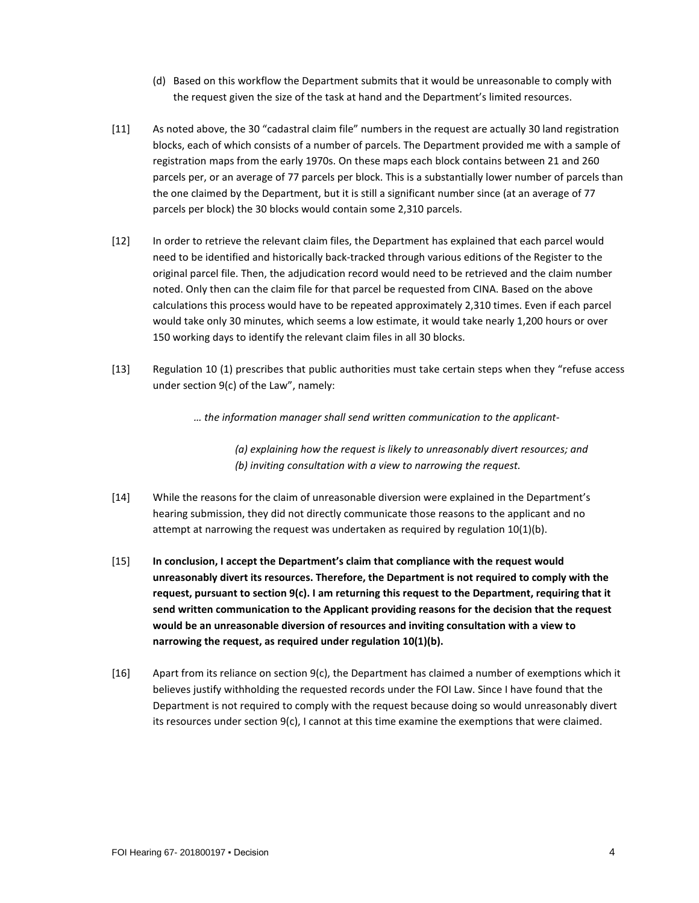- (d) Based on this workflow the Department submits that it would be unreasonable to comply with the request given the size of the task at hand and the Department's limited resources.
- [11] As noted above, the 30 "cadastral claim file" numbers in the request are actually 30 land registration blocks, each of which consists of a number of parcels. The Department provided me with a sample of registration maps from the early 1970s. On these maps each block contains between 21 and 260 parcels per, or an average of 77 parcels per block. This is a substantially lower number of parcels than the one claimed by the Department, but it is still a significant number since (at an average of 77 parcels per block) the 30 blocks would contain some 2,310 parcels.
- [12] In order to retrieve the relevant claim files, the Department has explained that each parcel would need to be identified and historically back-tracked through various editions of the Register to the original parcel file. Then, the adjudication record would need to be retrieved and the claim number noted. Only then can the claim file for that parcel be requested from CINA. Based on the above calculations this process would have to be repeated approximately 2,310 times. Even if each parcel would take only 30 minutes, which seems a low estimate, it would take nearly 1,200 hours or over 150 working days to identify the relevant claim files in all 30 blocks.
- [13] Regulation 10 (1) prescribes that public authorities must take certain steps when they "refuse access under section 9(c) of the Law", namely:

*… the information manager shall send written communication to the applicant-*

*(a) explaining how the request is likely to unreasonably divert resources; and (b) inviting consultation with a view to narrowing the request.*

- [14] While the reasons for the claim of unreasonable diversion were explained in the Department's hearing submission, they did not directly communicate those reasons to the applicant and no attempt at narrowing the request was undertaken as required by regulation  $10(1)(b)$ .
- [15] **In conclusion, I accept the Department's claim that compliance with the request would unreasonably divert its resources. Therefore, the Department is not required to comply with the request, pursuant to section 9(c). I am returning this request to the Department, requiring that it send written communication to the Applicant providing reasons for the decision that the request would be an unreasonable diversion of resources and inviting consultation with a view to narrowing the request, as required under regulation 10(1)(b).**
- $[16]$  Apart from its reliance on section  $9(c)$ , the Department has claimed a number of exemptions which it believes justify withholding the requested records under the FOI Law. Since I have found that the Department is not required to comply with the request because doing so would unreasonably divert its resources under section 9(c), I cannot at this time examine the exemptions that were claimed.